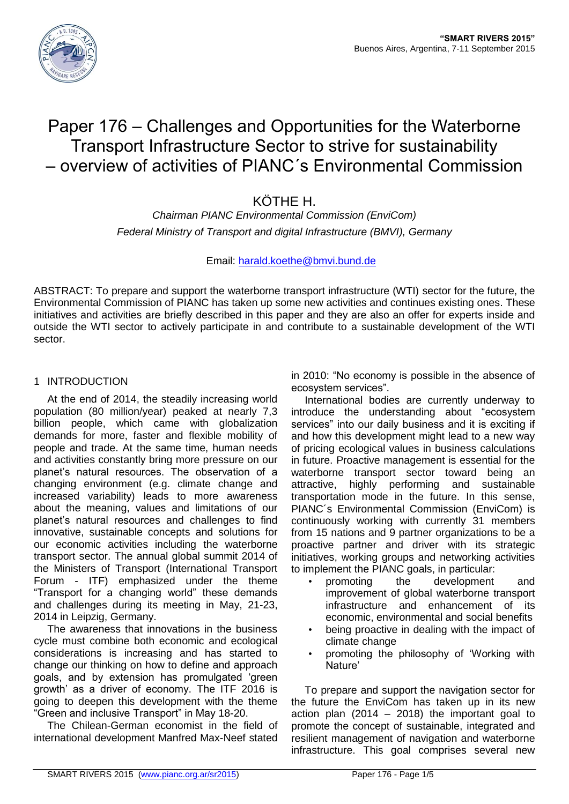

# Paper 176 – Challenges and Opportunities for the Waterborne Transport Infrastructure Sector to strive for sustainability – overview of activities of PIANC´s Environmental Commission

# KÖTHE H.

*Chairman PIANC Environmental Commission (EnviCom) Federal Ministry of Transport and digital Infrastructure (BMVI), Germany*

# Email: [harald.koethe@bmvi.bund.de](mailto:harald.koethe@bmvi.bund.de)

ABSTRACT: To prepare and support the waterborne transport infrastructure (WTI) sector for the future, the Environmental Commission of PIANC has taken up some new activities and continues existing ones. These initiatives and activities are briefly described in this paper and they are also an offer for experts inside and outside the WTI sector to actively participate in and contribute to a sustainable development of the WTI sector.

# 1 INTRODUCTION

At the end of 2014, the steadily increasing world population (80 million/year) peaked at nearly 7,3 billion people, which came with globalization demands for more, faster and flexible mobility of people and trade. At the same time, human needs and activities constantly bring more pressure on our planet's natural resources. The observation of a changing environment (e.g. climate change and increased variability) leads to more awareness about the meaning, values and limitations of our planet's natural resources and challenges to find innovative, sustainable concepts and solutions for our economic activities including the waterborne transport sector. The annual global summit 2014 of the Ministers of Transport (International Transport Forum - ITF) emphasized under the theme "Transport for a changing world" these demands and challenges during its meeting in May, 21-23, 2014 in Leipzig, Germany.

The awareness that innovations in the business cycle must combine both economic and ecological considerations is increasing and has started to change our thinking on how to define and approach goals, and by extension has promulgated 'green growth' as a driver of economy. The ITF 2016 is going to deepen this development with the theme "Green and inclusive Transport" in May 18-20.

The Chilean-German economist in the field of international development Manfred Max-Neef stated

in 2010: "No economy is possible in the absence of ecosystem services".

International bodies are currently underway to introduce the understanding about "ecosystem services" into our daily business and it is exciting if and how this development might lead to a new way of pricing ecological values in business calculations in future. Proactive management is essential for the waterborne transport sector toward being an attractive, highly performing and sustainable transportation mode in the future. In this sense, PIANC´s Environmental Commission (EnviCom) is continuously working with currently 31 members from 15 nations and 9 partner organizations to be a proactive partner and driver with its strategic initiatives, working groups and networking activities to implement the PIANC goals, in particular:

- promoting the development and improvement of global waterborne transport infrastructure and enhancement of its economic, environmental and social benefits
- being proactive in dealing with the impact of climate change
- promoting the philosophy of 'Working with Nature'

To prepare and support the navigation sector for the future the EnviCom has taken up in its new action plan (2014 – 2018) the important goal to promote the concept of sustainable, integrated and resilient management of navigation and waterborne infrastructure. This goal comprises several new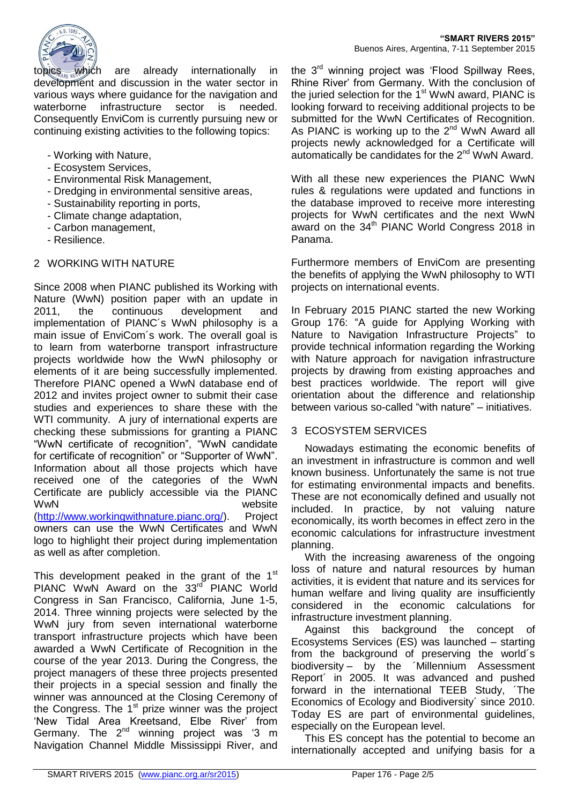

topics<sub>MRE W</sub>Which are already internationally in development and discussion in the water sector in various ways where guidance for the navigation and waterborne infrastructure sector is needed. Consequently EnviCom is currently pursuing new or continuing existing activities to the following topics:

- Working with Nature,
- Ecosystem Services,
- Environmental Risk Management,
- Dredging in environmental sensitive areas,
- Sustainability reporting in ports,
- Climate change adaptation,
- Carbon management,
- Resilience.

# 2 WORKING WITH NATURE

Since 2008 when PIANC published its Working with Nature (WwN) position paper with an update in 2011, the continuous development and implementation of PIANC´s WwN philosophy is a main issue of EnviCom´s work. The overall goal is to learn from waterborne transport infrastructure projects worldwide how the WwN philosophy or elements of it are being successfully implemented. Therefore PIANC opened a WwN database end of 2012 and invites project owner to submit their case studies and experiences to share these with the WTI community. A jury of international experts are checking these submissions for granting a PIANC "WwN certificate of recognition", "WwN candidate for certificate of recognition" or "Supporter of WwN". Information about all those projects which have received one of the categories of the WwN Certificate are publicly accessible via the PIANC WwN website [\(http://www.workingwithnature.pianc.org/\)](http://www.workingwithnature.pianc.org/). Project owners can use the WwN Certificates and WwN logo to highlight their project during implementation as well as after completion.

This development peaked in the grant of the  $1<sup>st</sup>$ PIANC WwN Award on the 33rd PIANC World Congress in San Francisco, California, June 1-5, 2014. Three winning projects were selected by the WwN jury from seven international waterborne transport infrastructure projects which have been awarded a WwN Certificate of Recognition in the course of the year 2013. During the Congress, the project managers of these three projects presented their projects in a special session and finally the winner was announced at the Closing Ceremony of the Congress. The  $1<sup>st</sup>$  prize winner was the project 'New Tidal Area Kreetsand, Elbe River' from Germany. The  $2^{nd}$  winning project was '3 m Navigation Channel Middle Mississippi River, and

the 3<sup>rd</sup> winning project was 'Flood Spillway Rees, Rhine River' from Germany. With the conclusion of the juried selection for the  $1<sup>st</sup>$  WwN award, PIANC is looking forward to receiving additional projects to be submitted for the WwN Certificates of Recognition. As PIANC is working up to the  $2^{nd}$  WwN Award all projects newly acknowledged for a Certificate will automatically be candidates for the  $2<sup>nd</sup>$  WwN Award.

With all these new experiences the PIANC WwN rules & regulations were updated and functions in the database improved to receive more interesting projects for WwN certificates and the next WwN award on the  $34<sup>th</sup>$  PIANC World Congress 2018 in Panama.

Furthermore members of EnviCom are presenting the benefits of applying the WwN philosophy to WTI projects on international events.

In February 2015 PIANC started the new Working Group 176: "A guide for Applying Working with Nature to Navigation Infrastructure Projects" to provide technical information regarding the Working with Nature approach for navigation infrastructure projects by drawing from existing approaches and best practices worldwide. The report will give orientation about the difference and relationship between various so-called "with nature" – initiatives.

# 3 ECOSYSTEM SERVICES

Nowadays estimating the economic benefits of an investment in infrastructure is common and well known business. Unfortunately the same is not true for estimating environmental impacts and benefits. These are not economically defined and usually not included. In practice, by not valuing nature economically, its worth becomes in effect zero in the economic calculations for infrastructure investment planning.

With the increasing awareness of the ongoing loss of nature and natural resources by human activities, it is evident that nature and its services for human welfare and living quality are insufficiently considered in the economic calculations for infrastructure investment planning.

Against this background the concept of Ecosystems Services (ES) was launched – starting from the background of preserving the world´s biodiversity – by the ´Millennium Assessment Report´ in 2005. It was advanced and pushed forward in the international TEEB Study, ´The Economics of Ecology and Biodiversity´ since 2010. Today ES are part of environmental guidelines, especially on the European level.

This ES concept has the potential to become an internationally accepted and unifying basis for a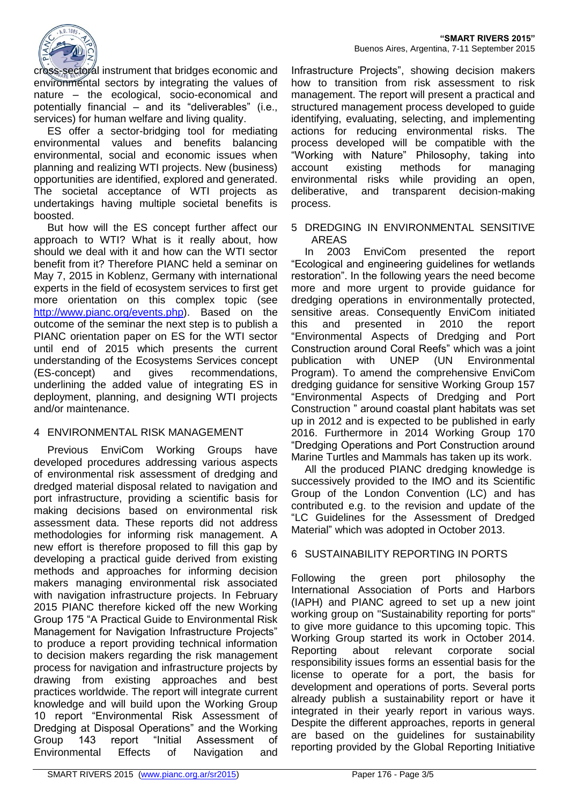

cross-sectoral instrument that bridges economic and environmental sectors by integrating the values of nature – the ecological, socio-economical and potentially financial – and its "deliverables" (i.e., services) for human welfare and living quality.

ES offer a sector-bridging tool for mediating environmental values and benefits balancing environmental, social and economic issues when planning and realizing WTI projects. New (business) opportunities are identified, explored and generated. The societal acceptance of WTI projects as undertakings having multiple societal benefits is boosted.

But how will the ES concept further affect our approach to WTI? What is it really about, how should we deal with it and how can the WTI sector benefit from it? Therefore PIANC held a seminar on May 7, 2015 in Koblenz, Germany with international experts in the field of ecosystem services to first get more orientation on this complex topic (see [http://www.pianc.org/events.php\)](http://www.pianc.org/events.php). Based on the outcome of the seminar the next step is to publish a PIANC orientation paper on ES for the WTI sector until end of 2015 which presents the current understanding of the Ecosystems Services concept (ES-concept) and gives recommendations, underlining the added value of integrating ES in deployment, planning, and designing WTI projects and/or maintenance.

#### 4 ENVIRONMENTAL RISK MANAGEMENT

Previous EnviCom Working Groups have developed procedures addressing various aspects of environmental risk assessment of dredging and dredged material disposal related to navigation and port infrastructure, providing a scientific basis for making decisions based on environmental risk assessment data. These reports did not address methodologies for informing risk management. A new effort is therefore proposed to fill this gap by developing a practical guide derived from existing methods and approaches for informing decision makers managing environmental risk associated with navigation infrastructure projects. In February 2015 PIANC therefore kicked off the new Working Group 175 "A Practical Guide to Environmental Risk Management for Navigation Infrastructure Projects" to produce a report providing technical information to decision makers regarding the risk management process for navigation and infrastructure projects by drawing from existing approaches and best practices worldwide. The report will integrate current knowledge and will build upon the Working Group 10 report "Environmental Risk Assessment of Dredging at Disposal Operations" and the Working Group 143 report "Initial Assessment of Environmental Effects of Navigation and

Infrastructure Projects", showing decision makers how to transition from risk assessment to risk management. The report will present a practical and structured management process developed to guide identifying, evaluating, selecting, and implementing actions for reducing environmental risks. The process developed will be compatible with the "Working with Nature" Philosophy, taking into account existing methods for managing environmental risks while providing an open, deliberative, and transparent decision-making process.

5 DREDGING IN ENVIRONMENTAL SENSITIVE AREAS

In 2003 EnviCom presented the report "Ecological and engineering guidelines for wetlands restoration". In the following years the need become more and more urgent to provide guidance for dredging operations in environmentally protected, sensitive areas. Consequently EnviCom initiated this and presented in 2010 the report "Environmental Aspects of Dredging and Port Construction around Coral Reefs" which was a joint publication with UNEP (UN Environmental Program). To amend the comprehensive EnviCom dredging guidance for sensitive Working Group 157 "Environmental Aspects of Dredging and Port Construction " around coastal plant habitats was set up in 2012 and is expected to be published in early 2016. Furthermore in 2014 Working Group 170 "Dredging Operations and Port Construction around Marine Turtles and Mammals has taken up its work.

All the produced PIANC dredging knowledge is successively provided to the IMO and its Scientific Group of the London Convention (LC) and has contributed e.g. to the revision and update of the "LC Guidelines for the Assessment of Dredged Material" which was adopted in October 2013.

#### 6 SUSTAINABILITY REPORTING IN PORTS

Following the green port philosophy the International Association of Ports and Harbors (IAPH) and PIANC agreed to set up a new joint working group on "Sustainability reporting for ports" to give more guidance to this upcoming topic. This Working Group started its work in October 2014. Reporting about relevant corporate social responsibility issues forms an essential basis for the license to operate for a port, the basis for development and operations of ports. Several ports already publish a sustainability report or have it integrated in their yearly report in various ways. Despite the different approaches, reports in general are based on the guidelines for sustainability reporting provided by the Global Reporting Initiative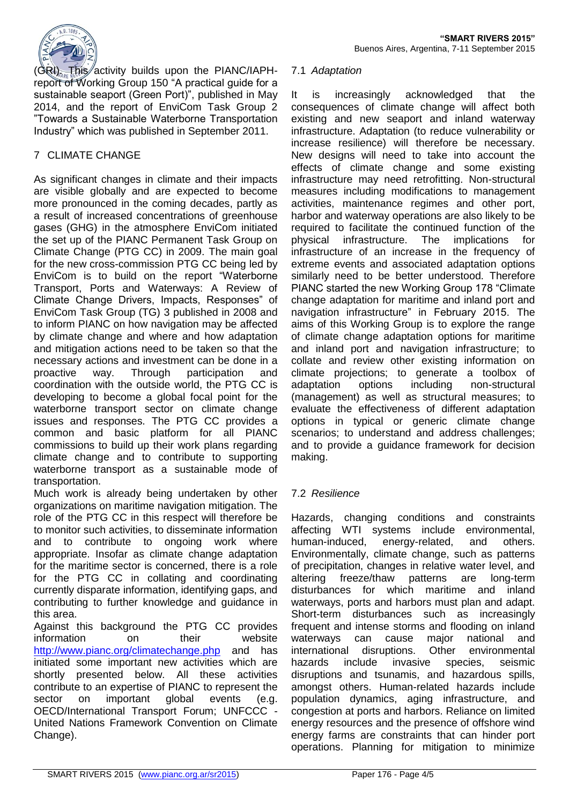

(GRI). This activity builds upon the PIANC/IAPHreport of Working Group 150 "A practical guide for a sustainable seaport (Green Port)", published in May 2014, and the report of EnviCom Task Group 2 "Towards a Sustainable Waterborne Transportation Industry" which was published in September 2011.

# 7 CLIMATE CHANGE

As significant changes in climate and their impacts are visible globally and are expected to become more pronounced in the coming decades, partly as a result of increased concentrations of greenhouse gases (GHG) in the atmosphere EnviCom initiated the set up of the PIANC Permanent Task Group on Climate Change (PTG CC) in 2009. The main goal for the new cross-commission PTG CC being led by EnviCom is to build on the report "Waterborne Transport, Ports and Waterways: A Review of Climate Change Drivers, Impacts, Responses" of EnviCom Task Group (TG) 3 published in 2008 and to inform PIANC on how navigation may be affected by climate change and where and how adaptation and mitigation actions need to be taken so that the necessary actions and investment can be done in a proactive way. Through participation and coordination with the outside world, the PTG CC is developing to become a global focal point for the waterborne transport sector on climate change issues and responses. The PTG CC provides a common and basic platform for all PIANC commissions to build up their work plans regarding climate change and to contribute to supporting waterborne transport as a sustainable mode of transportation.

Much work is already being undertaken by other organizations on maritime navigation mitigation. The role of the PTG CC in this respect will therefore be to monitor such activities, to disseminate information and to contribute to ongoing work where appropriate. Insofar as climate change adaptation for the maritime sector is concerned, there is a role for the PTG CC in collating and coordinating currently disparate information, identifying gaps, and contributing to further knowledge and guidance in this area.

Against this background the PTG CC provides information on their website <http://www.pianc.org/climatechange.php> and has initiated some important new activities which are shortly presented below. All these activities contribute to an expertise of PIANC to represent the sector on important global events (e.g. OECD/International Transport Forum; UNFCCC - United Nations Framework Convention on Climate Change).

#### 7.1 *Adaptation*

It is increasingly acknowledged that the consequences of climate change will affect both existing and new seaport and inland waterway infrastructure. Adaptation (to reduce vulnerability or increase resilience) will therefore be necessary. New designs will need to take into account the effects of climate change and some existing infrastructure may need retrofitting. Non-structural measures including modifications to management activities, maintenance regimes and other port, harbor and waterway operations are also likely to be required to facilitate the continued function of the physical infrastructure. The implications for infrastructure of an increase in the frequency of extreme events and associated adaptation options similarly need to be better understood. Therefore PIANC started the new Working Group 178 "Climate change adaptation for maritime and inland port and navigation infrastructure" in February 2015. The aims of this Working Group is to explore the range of climate change adaptation options for maritime and inland port and navigation infrastructure; to collate and review other existing information on climate projections; to generate a toolbox of adaptation options including non-structural (management) as well as structural measures; to evaluate the effectiveness of different adaptation options in typical or generic climate change scenarios; to understand and address challenges; and to provide a guidance framework for decision making.

# 7.2 *Resilience*

Hazards, changing conditions and constraints affecting WTI systems include environmental, human-induced, energy-related, and others. Environmentally, climate change, such as patterns of precipitation, changes in relative water level, and altering freeze/thaw patterns are long-term disturbances for which maritime and inland waterways, ports and harbors must plan and adapt. Short-term disturbances such as increasingly frequent and intense storms and flooding on inland waterways can cause major national and international disruptions. Other environmental hazards include invasive species, seismic disruptions and tsunamis, and hazardous spills, amongst others. Human-related hazards include population dynamics, aging infrastructure, and congestion at ports and harbors. Reliance on limited energy resources and the presence of offshore wind energy farms are constraints that can hinder port operations. Planning for mitigation to minimize